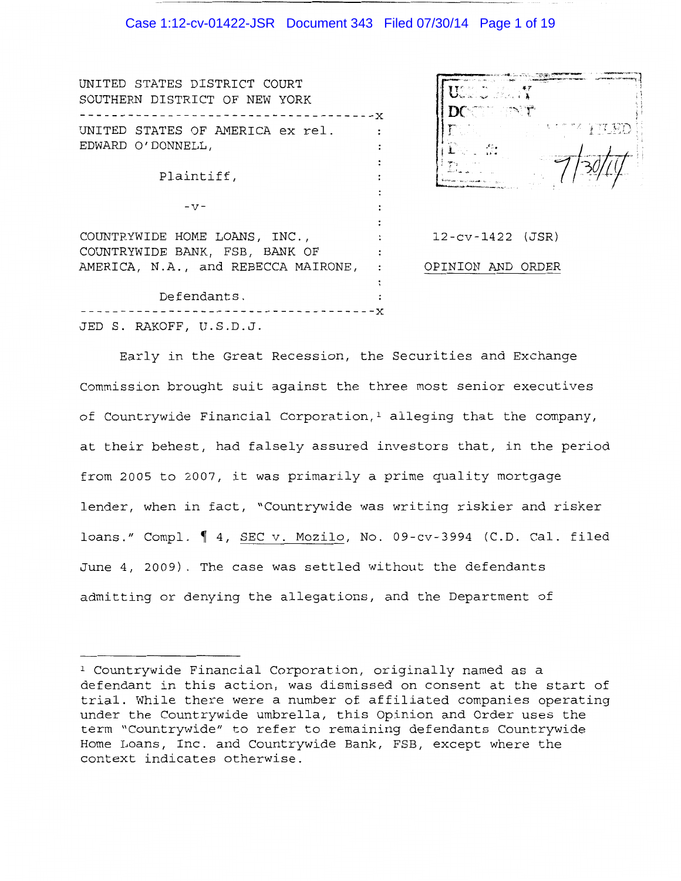### Case 1:12-cv-01422-JSR Document 343 Filed 07/30/14 Page 1 of 19

| UNITED STATES DISTRICT COURT<br>SOUTHERN DISTRICT OF NEW YORK   | USS O BRITT<br>$DC = C$         |
|-----------------------------------------------------------------|---------------------------------|
| UNITED STATES OF AMERICA ex rel.<br>EDWARD O'DONNELL,           | <b>TALL AND SERVICE</b><br>- 41 |
| Plaintiff,                                                      |                                 |
| $-V -$                                                          |                                 |
| COUNTRYWIDE HOME LOANS, INC.,<br>COUNTRYWIDE BANK, FSB, BANK OF | $12-cv-1422$ (JSR)              |
| AMERICA, N.A., and REBECCA MAIRONE,                             | OPINION AND ORDER               |
| Defendants.                                                     |                                 |
| JED S. RAKOFF, U.S.D.J.                                         |                                 |

Early in the Great Recession, the Securities and Exchange Commission brought suit against the three most senior executives of Countrywide Financial Corporation,<sup>1</sup> alleging that the company, at their behest, had falsely assured investors that, in the period from 2005 to 2007, it was primarily a prime quality mortgage lender, when in fact, "Countrywide was writing riskier and risker loans." Compl.  $\parallel$  4, SEC v. Mozilo, No. 09-cv-3994 (C.D. Cal. filed June 4, 2009). The case was settled without the defendants admitting or denying the allegations, and the Department of

<sup>1</sup> Countrywide Financial Corporation, originally named as a defendant in this action, was dismissed on consent at the start of trial. While there were a number of affiliated companies operating under the Countrywide umbrella, this Opinion and Order uses the term "Countrywide" to refer to remaining defendants Countrywide Home Loans, Inc. and Countrywide Bank, FSB, except where the context indicates otherwise.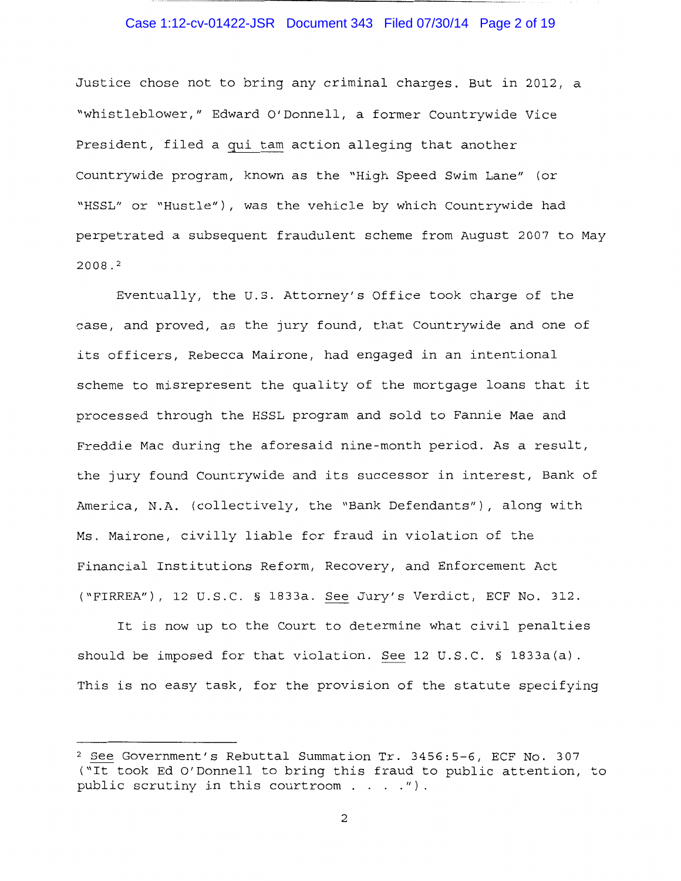### Case 1:12-cv-01422-JSR Document 343 Filed 07/30/14 Page 2 of 19

Justice chose not to bring any criminal charges. But in 2012, a "whistleblower," Edward O'Donnell, a former Countrywide Vice President, filed a qui tam action alleging that another Countrywide program, known as the "High Speed Swim Lane" (or "HSSL" or "Hustle"), was the vehicle by which Countrywide had perpetrated a subsequent fraudulent scheme from August 2007 to May 2008. <sup>2</sup>

Eventually, the U.S. Attorney's Office took charge of the case, and proved, as the jury found, that Countrywide and one of its officers, Rebecca Mairone, had engaged in an intentional scheme to misrepresent the quality of the mortgage loans that it processed through the HSSL program and sold to Fannie Mae and Freddie Mac during the aforesaid nine-month period. As a result, the jury found Countrywide and its successor in interest, Bank of America, N.A. (collectively, the "Bank Defendants"), along with Ms. Mairone, civilly liable for fraud in violation of the Financial Institutions Reform, Recovery, and Enforcement Act ("FIRREA"), 12 U.S.C. § 1833a. See Jury's Verdict, ECF No. 312.

It is now up to the Court to determine what civil penalties should be imposed for that violation. See 12 U.S.C. § 1833a(a). This is no easy task, for the provision of the statute specifying

<sup>2</sup> See Government's Rebuttal Summation Tr. 3456:5-6, ECF No. 307 ("It took Ed O'Donnell to bring this fraud to public attention, to public scrutiny in this courtroom  $\ldots$  ...").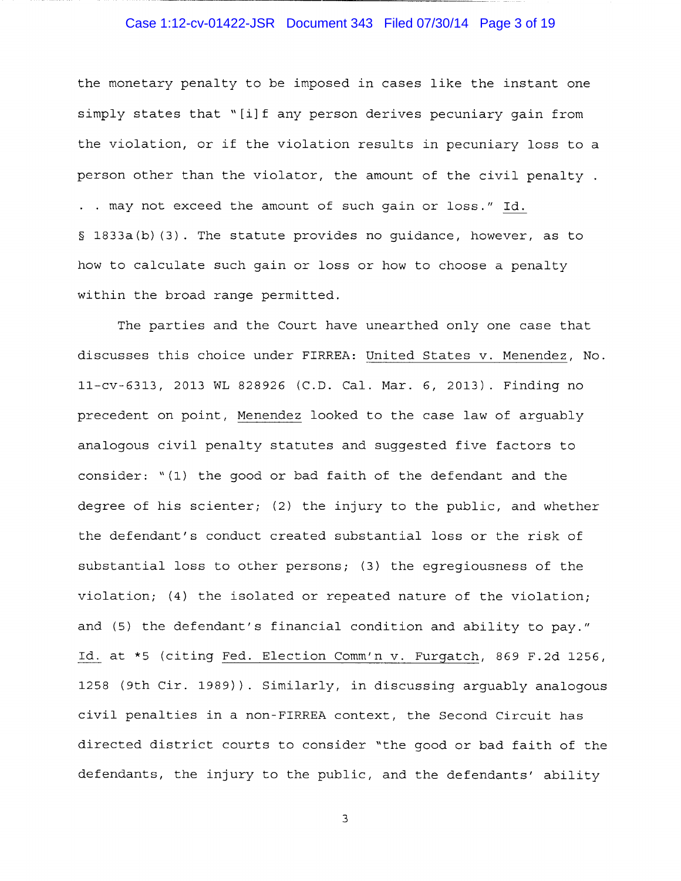# Case 1:12-cv-01422-JSR Document 343 Filed 07/30/14 Page 3 of 19

the monetary penalty to be imposed in cases like the instant one simply states that "[i]f any person derives pecuniary gain from the violation, or if the violation results in pecuniary loss to a person other than the violator, the amount of the civil penalty. . may not exceed the amount of such gain or loss." Id. § 1833a(b) (3). The statute provides no guidance, however, as to how to calculate such gain or loss or how to choose a penalty within the broad range permitted.

The parties and the Court have unearthed only one case that discusses this choice under FIRREA: United States v. Menendez, No. ll-cv-6313, 2013 WL 828926 (C.D. Cal. Mar. 6, 2013). Finding no precedent on point, Menendez looked to the case law of arguably analogous civil penalty statutes and suggested five factors to consider: "(l) the good or bad faith of the defendant and the degree of his scienter; (2) the injury to the public, and whether the defendant's conduct created substantial loss or the risk of substantial loss to other persons; (3) the egregiousness of the violation; (4) the isolated or repeated nature of the violation; and (5) the defendant's financial condition and ability to pay." Id. at \*5 (citing Fed. Election Comm'n v. Furgatch, 869 F.2d 1256, 1258 (9th Cir. 1989)). Similarly, in discussing arguably analogous civil penalties in a non-FIRREA context, the Second Circuit has directed district courts to consider "the good or bad faith of the defendants, the injury to the public, and the defendants' ability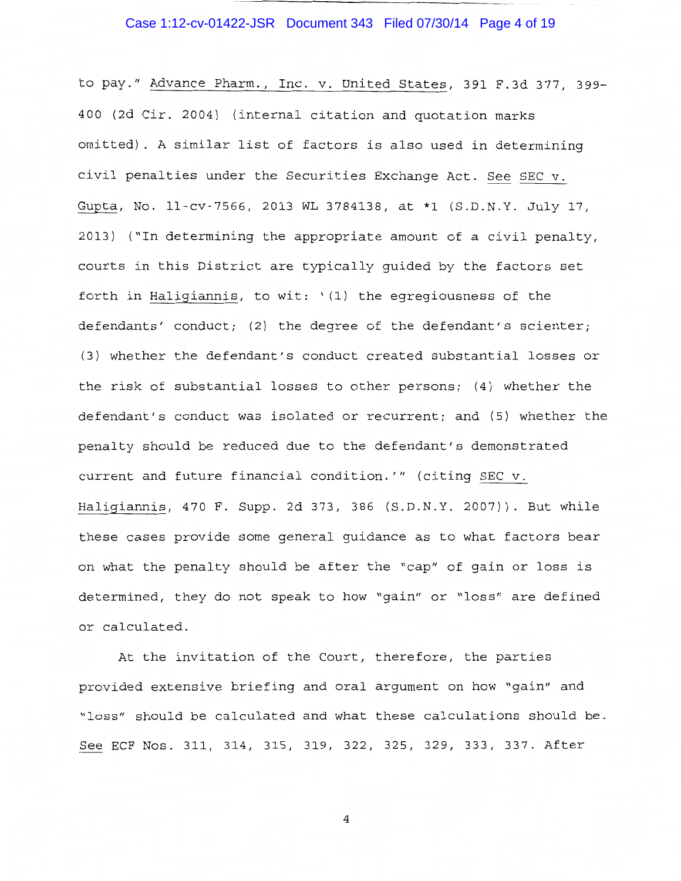# Case 1:12-cv-01422-JSR Document 343 Filed 07/30/14 Page 4 of 19

to pay." Advance Pharm., Inc. v. United States, 391 F.3d 377, 399- 400 (2d Cir. 2004) (internal citation and quotation marks omitted) . A similar list of factors is also used in determining civil penalties under the Securities Exchange Act. See SEC v. Gupta, No. ll-cv-7566, 2013 WL 3784138, at \*l (S.D.N.Y. July 17, 2013) ("In determining the appropriate amount of a civil penalty, courts in this District are typically guided by the factors set forth in Haligiannis, to wit: '(1) the egregiousness of the defendants' conduct; (2) the degree of the defendant's scienter; (3) whether the defendant's conduct created substantial losses or the risk of substantial losses to other persons; (4) whether the defendant's conduct was isolated or recurrent; and (5) whether the penalty should be reduced due to the defendant's demonstrated current and future financial condition.'" (citing SEC v. Haligiannis, 470 F. Supp. 2d 373, 386 (S.D.N.Y. 2007)). But while these cases provide some general guidance as to what factors bear on what the penalty should be after the "cap" of gain or loss is determined, they do not speak to how "gain" or "loss" are defined or calculated.

At the invitation of the Court, therefore, the parties provided extensive briefing and oral argument on how "gain" and "loss" should be calculated and what these calculations should be. See ECF Nos. 311, 314, 315, 319, 322, 325, 329, 333, 337. After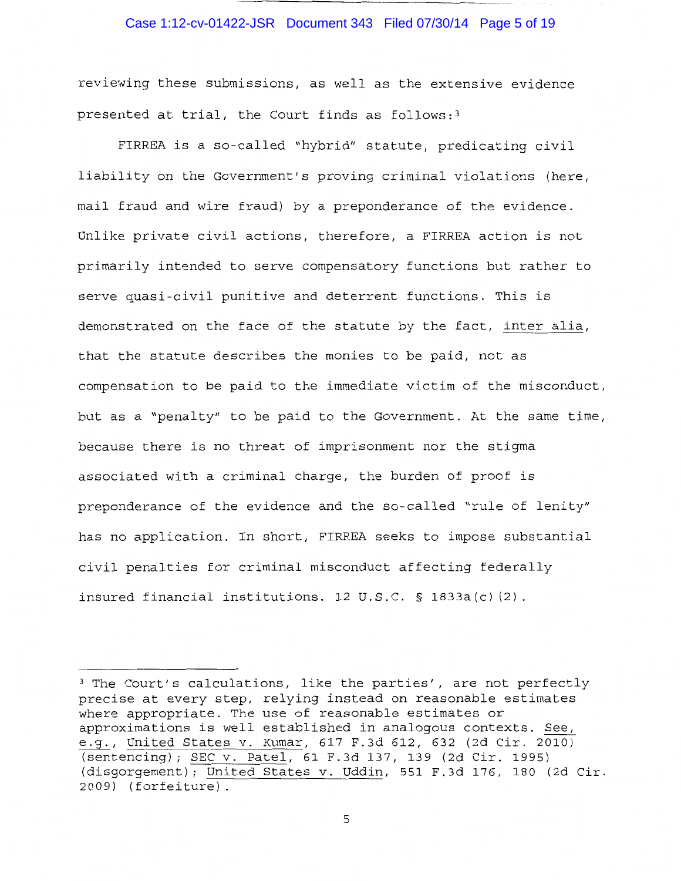### Case 1:12-cv-01422-JSR Document 343 Filed 07/30/14 Page 5 of 19

reviewing these submissions, as well as the extensive evidence presented at trial, the Court finds as follows:3

FIRREA is a so-called "hybrid" statute, predicating civil liability on the Government's proving criminal violations (here, mail fraud and wire fraud) by a preponderance of the evidence. Unlike private civil actions, therefore, a FIRREA action is not primarily intended to serve compensatory functions but rather to serve quasi-civil punitive and deterrent functions. This is demonstrated on the face of the statute by the fact, inter alia, that the statute describes the monies to be paid, not as compensation to be paid to the immediate victim of the misconduct, but as a "penalty" to be paid to the Government. At the same time, because there is no threat of imprisonment nor the stigma associated with a criminal charge, the burden of proof is preponderance of the evidence and the so-called "rule of lenity" has no application. In short, FIRREA seeks to impose substantial civil penalties for criminal misconduct affecting federally insured financial institutions. 12 U.S.C. § 1833a(c) (2).

<sup>&</sup>lt;sup>3</sup> The Court's calculations, like the parties', are not perfectly precise at every step, relying instead on reasonable estimates where appropriate. The use of reasonable estimates or approximations is well established in analogous contexts. See, ~, United States v. Kumar, 617 F.3d 612, 632 (2d Cir. 2010) (sentencing); SEC v. Patel, 61 F.3d 137, 139 (2d Cir. 1995) (disgorgement); United States v. Uddin, 551 F.3d 176, 180 (2d Cir. 2009) (forfeiture).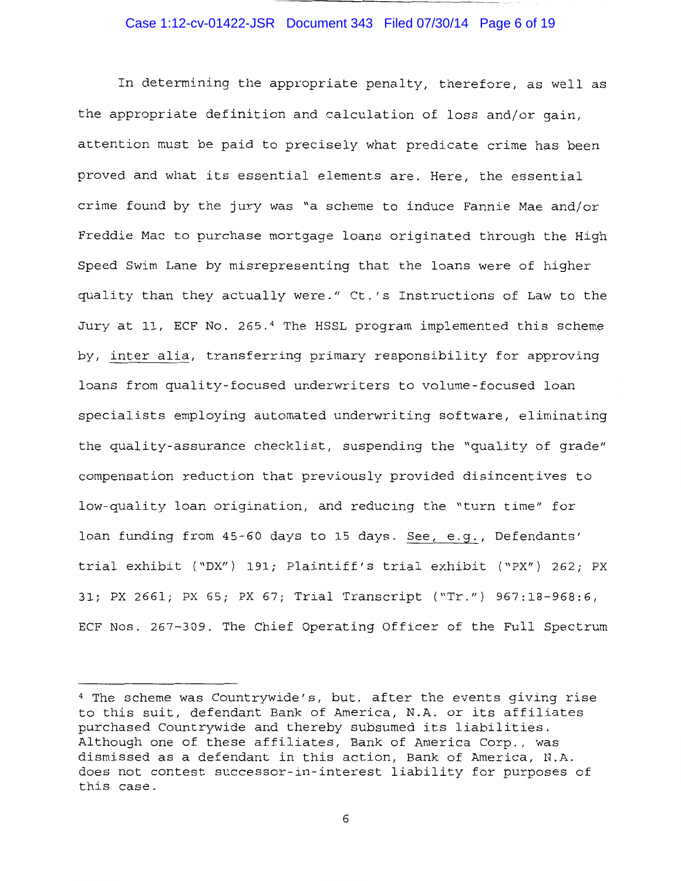### Case 1:12-cv-01422-JSR Document 343 Filed 07/30/14 Page 6 of 19

In determining the appropriate penalty, therefore, as well as the appropriate definition and calculation of loss and/or gain, attention must be paid to precisely what predicate crime has been proved and what its essential elements are. Here, the essential crime found by the jury was "a scheme to induce Fannie Mae and/or Freddie Mac to purchase mortgage loans originated through the High Speed Swim Lane by misrepresenting that the loans were of higher quality than they actually were." Ct.'s Instructions of Law to the Jury at 11, ECF No. 265. 4 The HSSL program implemented this scheme by, inter alia, transferring primary responsibility for approving loans from quality-focused underwriters to volume-focused loan specialists employing automated underwriting software, eliminating the quality-assurance checklist, suspending the "quality of grade" compensation reduction that previously provided disincentives to low-quality loan origination, and reducing the "turn time" for loan funding from 45-60 days to 15 days. See, e.g., Defendants' trial exhibit ("DX") 191; Plaintiff's trial exhibit ("PX") 262; PX 31; PX 2661; PX 65; PX 67; Trial Transcript ("Tr.") 967:18-968:6, ECF Nos. 267-309. The Chief Operating Officer of the Full Spectrum

<sup>4</sup> The scheme was Countrywide's, but, after the events giving rise to this suit, defendant Bank of America, N.A. or its affiliates purchased Countrywide and thereby subsumed its liabilities. Although one of these affiliates, Bank of America Corp., was dismissed as a defendant in this action, Bank of America, N.A. does not contest successor-in-interest liability for purposes of this case.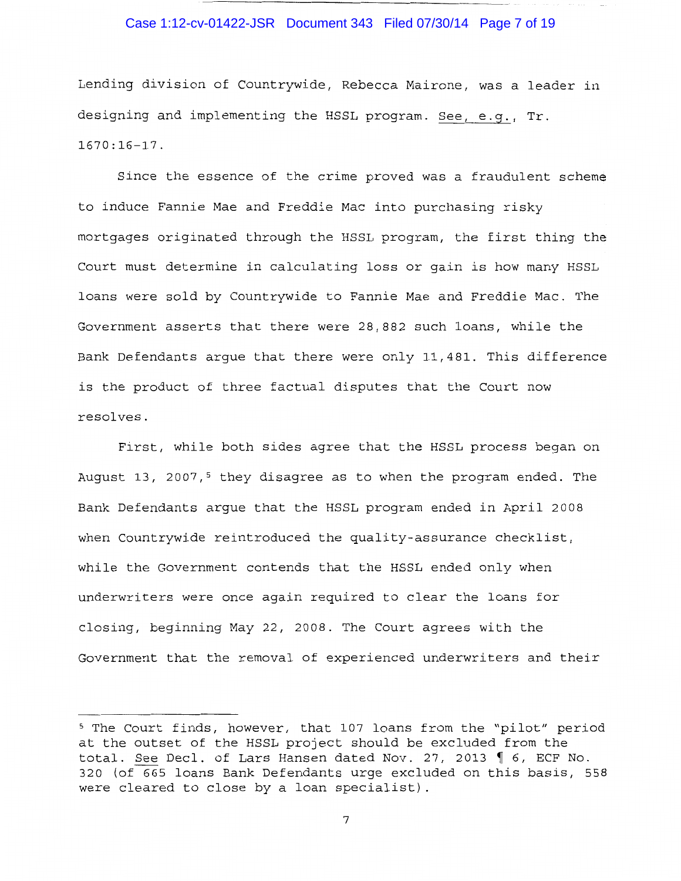### Case 1:12-cv-01422-JSR Document 343 Filed 07/30/14 Page 7 of 19

Lending division of Countrywide, Rebecca Mairone, was a leader in designing and implementing the HSSL program. See, e.g., Tr. 1670:16-17.

Since the essence of the crime proved was a fraudulent scheme to induce Fannie Mae and Freddie Mac into purchasing risky mortgages originated through the HSSL program, the first thing the Court must determine in calculating loss or gain is how many HSSL loans were sold by Countrywide to Fannie Mae and Freddie Mac. The Government asserts that there were 28,882 such loans, while the Bank Defendants argue that there were only 11,481. This difference is the product of three factual disputes that the Court now resolves.

First, while both sides agree that the HSSL process began on August 13, 2007,<sup>5</sup> they disagree as to when the program ended. The Bank Defendants argue that the HSSL program ended in April 2008 when Countrywide reintroduced the quality-assurance checklist, while the Government contends that the HSSL ended only when underwriters were once again required to clear the loans for closing, beginning May 22, 2008. The Court agrees with the Government that the removal of experienced underwriters and their

<sup>5</sup> The Court finds, however, that 107 loans from the "pilot" period at the outset of the HSSL project should be excluded from the total. See Decl. of Lars Hansen dated Nov. 27, 2013  $\parallel$  6, ECF No. 320 (of 665 loans Bank Defendants urge excluded on this basis, 558 were cleared to close by a loan specialist)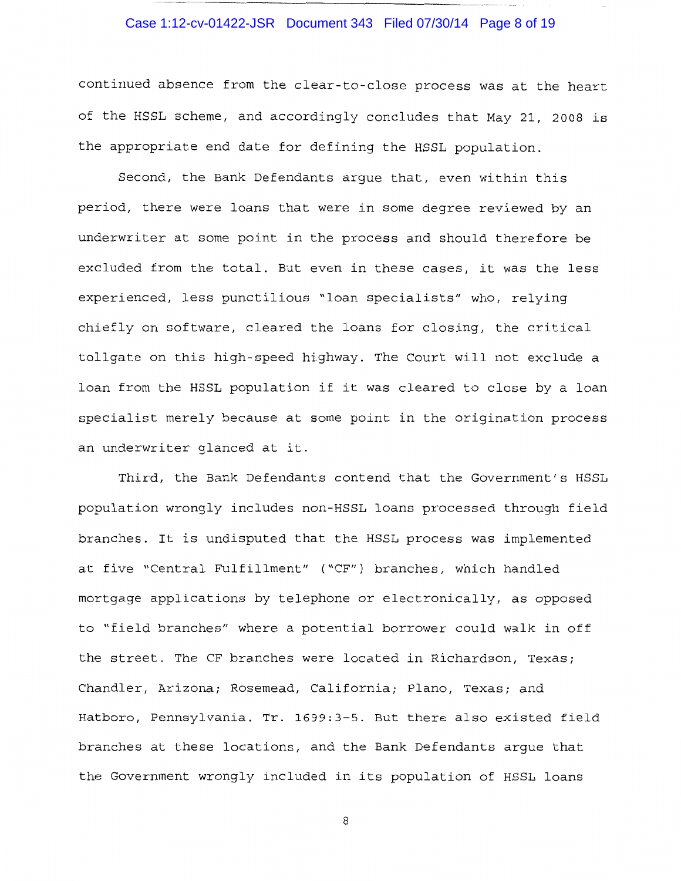# Case 1:12-cv-01422-JSR Document 343 Filed 07/30/14 Page 8 of 19

continued absence from the clear-to-close process was at the heart of the HSSL scheme, and accordingly concludes that May 21, 2008 is the appropriate end date for defining the HSSL population.

Second, the Bank Defendants argue that, even within this period, there were loans that were in some degree reviewed by an underwriter at some point in the process and should therefore be excluded from the total. But even in these cases, it was the less experienced, less punctilious "loan specialists" who, relying chiefly on software, cleared the loans for closing, the critical tollgate on this high-speed highway. The Court will not exclude a loan from the HSSL population if it was cleared to close by a loan specialist merely because at some point in the origination process an underwriter glanced at it.

Third, the Bank Defendants contend that the Government's HSSL population wrongly includes non-HSSL loans processed through field branches. It is undisputed that the HSSL process was implemented at five "Central Fulfillment" ("CF") branches, which handled mortgage applications by telephone or electronically, as opposed to "field branches" where a potential borrower could walk in off the street. The CF branches were located in Richardson, Texas; Chandler, Arizona; Rosemead, California; Plano, Texas; and Hatboro, Pennsylvania. Tr. 1699:3-5. But there also existed field branches at these locations, and the Bank Defendants argue that the Government wrongly included in its population of HSSL loans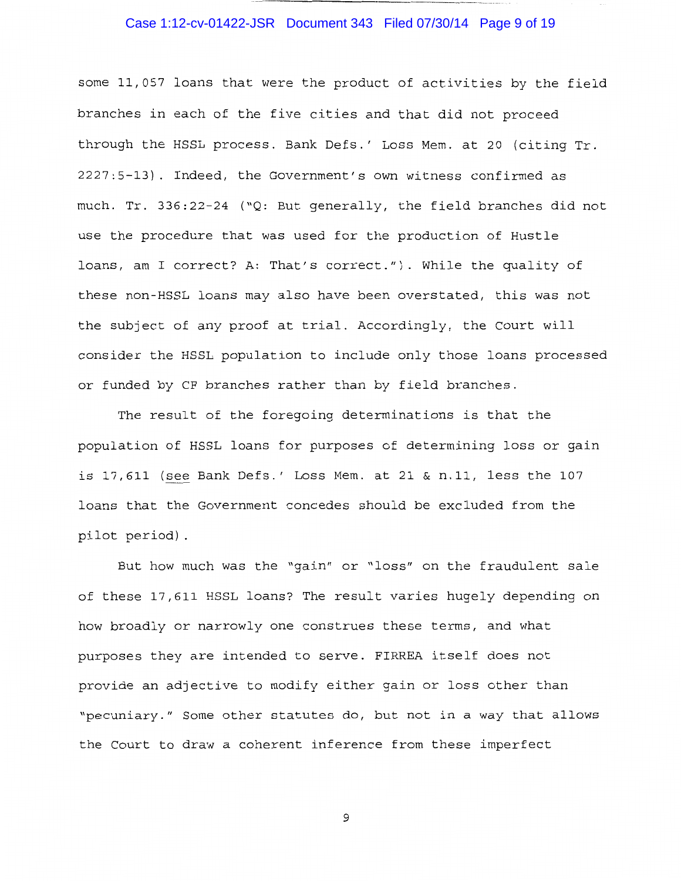# Case 1:12-cv-01422-JSR Document 343 Filed 07/30/14 Page 9 of 19

some 11,057 loans that were the product of activities by the field branches in each of the five cities and that did not proceed through the HSSL process. Bank Defs.' Loss Mem. at 20 (citing Tr. 2227:5-13). Indeed, the Government's own witness confirmed as much. Tr. 336:22-24 ("Q: But generally, the field branches did not use the procedure that was used for the production of Hustle loans, am I correct? A: That's correct."). While the quality of these non-HSSL loans may also have been overstated, this was not the subject of any proof at trial. Accordingly, the Court will consider the HSSL population to include only those loans processed or funded by CF branches rather than by field branches.

The result of the foregoing determinations is that the population of HSSL loans for purposes of determining loss or gain is 17,611 (see Bank Defs.' Loss Mem. at 21 & n.11, less the 107 loans that the Government concedes should be excluded from the pilot period) .

But how much was the "gain" or "loss" on the fraudulent sale of these 17,611 HSSL loans? The result varies hugely depending on how broadly or narrowly one construes these terms, and what purposes they are intended to serve. FIRREA itself does not provide an adjective to modify either gain or loss other than "pecuniary." Some other statutes do, but not in a way that allows the Court to draw a coherent inference from these imperfect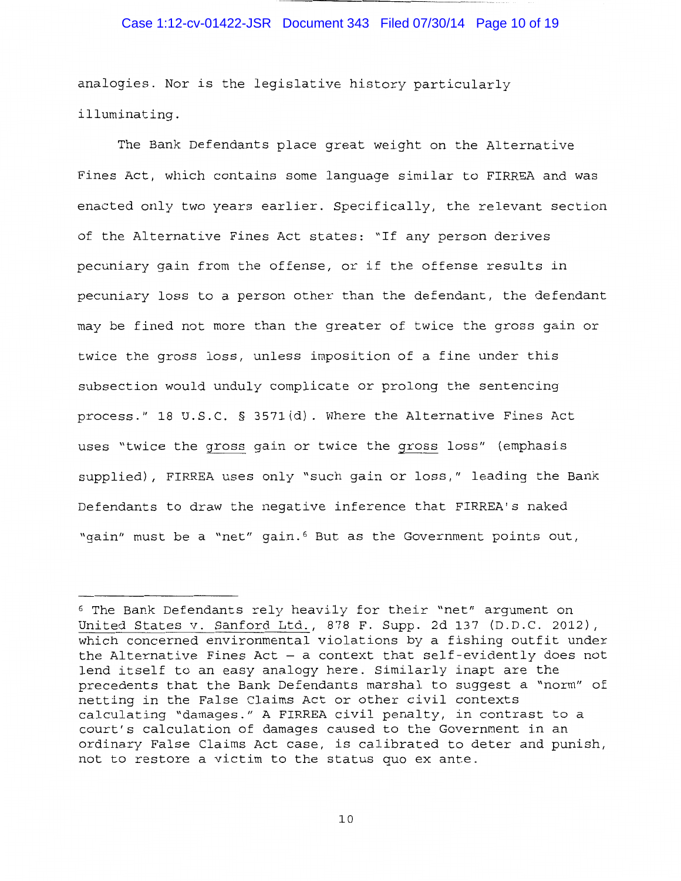### Case 1:12-cv-01422-JSR Document 343 Filed 07/30/14 Page 10 of 19

analogies. Nor is the legislative history particularly illuminating.

The Bank Defendants place great weight on the Alternative Fines Act, which contains some language similar to FIRREA and was enacted only two years earlier. Specifically, the relevant section of the Alternative Fines Act states: "If any person derives pecuniary gain from the offense, or if the offense results in pecuniary loss to a person other than the defendant, the defendant may be fined not more than the greater of twice the gross gain or twice the gross loss, unless imposition of a fine under this subsection would unduly complicate or prolong the sentencing process." 18 U.S.C. § 357l(d). Where the Alternative Fines Act uses "twice the gross gain or twice the gross loss" (emphasis supplied), FIRREA uses only "such gain or loss," leading the Bank Defendants to draw the negative inference that FIRREA's naked "gain" must be a "net" gain. 6 But as the Government points out,

<sup>6</sup> The Bank Defendants rely heavily for their "net" argument on United States v. Sanford Ltd., 878 F. Supp. 2d 137 (D.D.C. 2012), which concerned environmental violations by a fishing outfit under the Alternative Fines Act  $-$  a context that self-evidently does not lend itself to an easy analogy here. Similarly inapt are the precedents that the Bank Defendants marshal to suggest a "norm" of netting in the False Claims Act or other civil contexts calculating "damages." A FIRREA civil penalty, in contrast to a court's calculation of damages caused to the Government in an ordinary False Claims Act case, is calibrated to deter and punish, not to restore a victim to the status quo ex ante.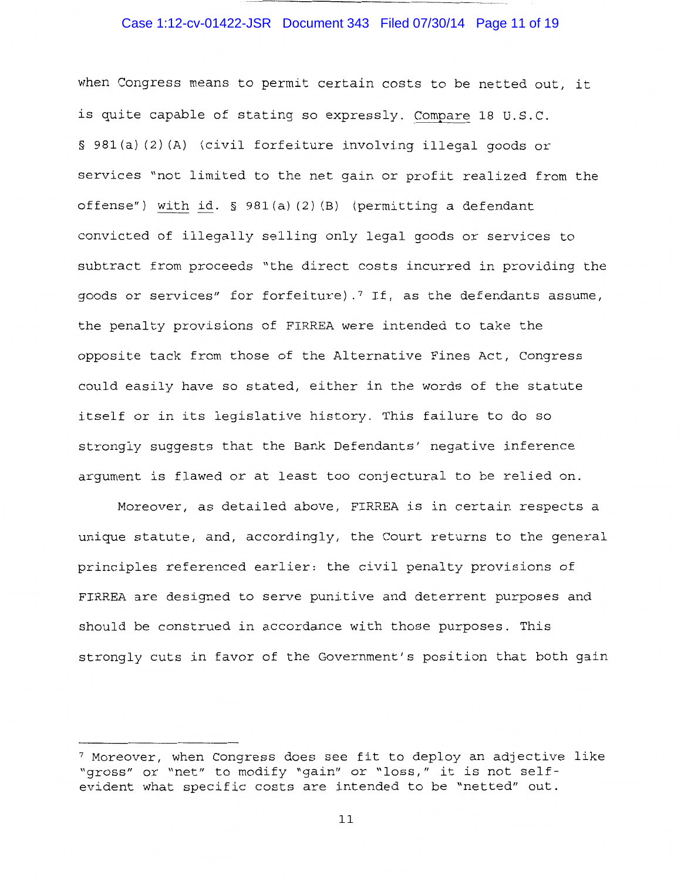### Case 1:12-cv-01422-JSR Document 343 Filed 07/30/14 Page 11 of 19

when Congress means to permit certain costs to be netted out, it is quite capable of stating so expressly. Compare 18 U.S.C. § 981 (a) (2) (A) (civil forfeiture involving illegal goods or services "not limited to the net gain or profit realized from the offense") with id. § 98l(a) (2) (B) (permitting a defendant convicted of illegally selling only legal goods or services to subtract from proceeds "the direct costs incurred in providing the goods or services" for forfeiture).<sup>7</sup> If, as the defendants assume, the penalty provisions of FIRREA were intended to take the opposite tack from those of the Alternative Fines Act, Congress could easily have so stated, either in the words of the statute itself or in its legislative history. This failure to do so strongly suggests that the Bank Defendants' negative inference argument is flawed or at least too conjectural to be relied on.

Moreover, as detailed above, FIRREA is in certain respects a unique statute, and, accordingly, the Court returns to the general principles referenced earlier: the civil penalty provisions of FIRREA are designed to serve punitive and deterrent purposes and should be construed in accordance with those purposes. This strongly cuts in favor of the Government's position that both gain

<sup>7</sup> Moreover, when Congress does see fit to deploy an adjective like "gross" or "net" to modify "gain" or "loss," it is not selfevident what specific costs are intended to be "netted" out.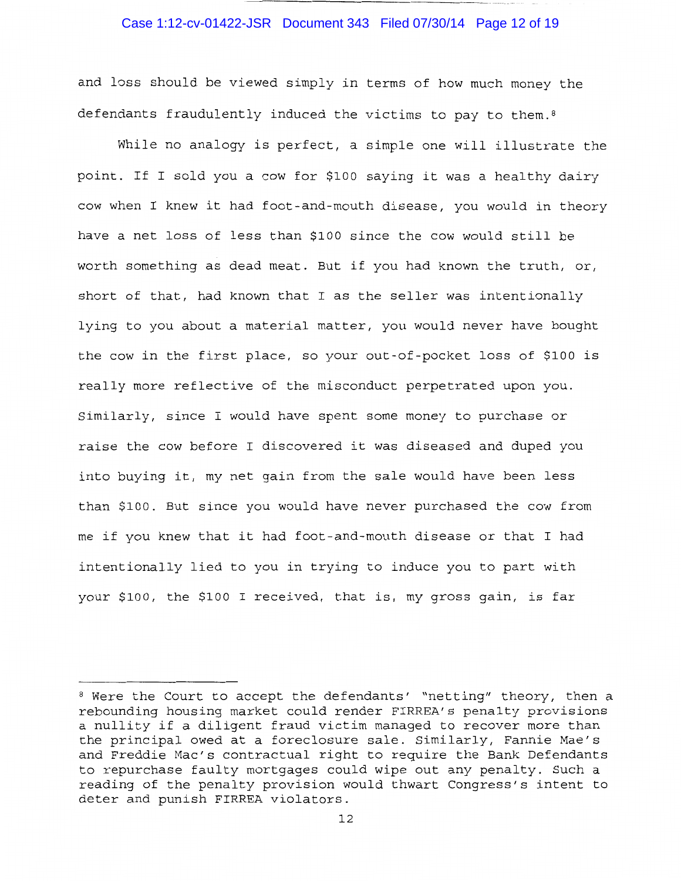#### Case 1:12-cv-01422-JSR Document 343 Filed 07/30/14 Page 12 of 19

and loss should be viewed simply in terms of how much money the defendants fraudulently induced the victims to pay to them.<sup>8</sup>

While no analogy is perfect, a simple one will illustrate the point. If I sold you a cow for \$100 saying it was a healthy dairy cow when I knew it had foot-and-mouth disease, you would in theory have a net loss of less than \$100 since the cow would still be worth something as dead meat. But if you had known the truth, or, short of that, had known that I as the seller was intentionally lying to you about a material matter, you would never have bought the cow in the first place, so your out-of-pocket loss of \$100 is really more reflective of the misconduct perpetrated upon you. Similarly, since I would have spent some money to purchase or raise the cow before I discovered it was diseased and duped you into buying it, my net gain from the sale would have been less than \$100. But since you would have never purchased the cow from me if you knew that it had foot-and-mouth disease or that I had intentionally lied to you in trying to induce you to part with your \$100, the \$100 I received, that is, my gross gain, is far

<sup>8</sup> Were the Court to accept the defendants' "netting" theory, then a rebounding housing market could render FIRREA's penalty provisions a nullity if a diligent fraud victim managed to recover more than the principal owed at a foreclosure sale. Similarly, Fannie Mae's and Freddie Mac's contractual right to require the Bank Defendants to repurchase faulty mortgages could wipe out any penalty. Such a reading of the penalty provision would thwart Congress's intent to deter and punish FIRREA violators.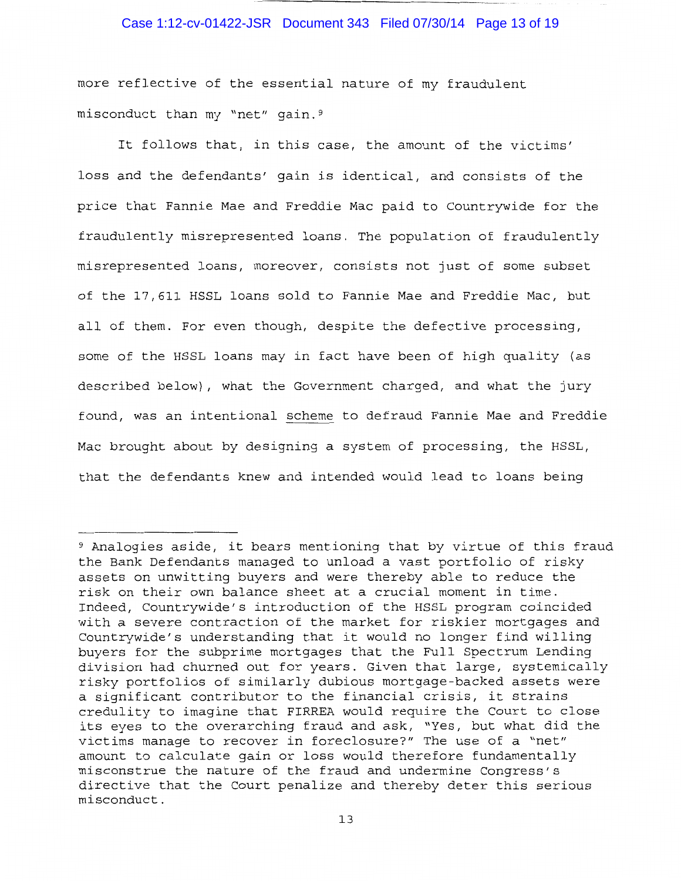### Case 1:12-cv-01422-JSR Document 343 Filed 07/30/14 Page 13 of 19

more reflective of the essential nature of my fraudulent misconduct than my "net" gain.9

It follows that, in this case, the amount of the victims' loss and the defendants' gain is identical, and consists of the price that Fannie Mae and Freddie Mac paid to Countrywide for the fraudulently misrepresented loans. The population of fraudulently misrepresented loans, moreover, consists not just of some subset of the 17,611 HSSL loans sold to Fannie Mae and Freddie Mac, but all of them. For even though, despite the defective processing, some of the HSSL loans may in fact have been of high quality (as described below), what the Government charged, and what the jury found, was an intentional scheme to defraud Fannie Mae and Freddie Mac brought about by designing a system of processing, the HSSL, that the defendants knew and intended would lead to loans being

<sup>9</sup> Analogies aside, it bears mentioning that by virtue of this fraud the Bank Defendants managed to unload a vast portfolio of risky assets on unwitting buyers and were thereby able to reduce the risk on their own balance sheet at a crucial moment in time. Indeed, Countrywide's introduction of the HSSL program coincided with a severe contraction of the market for riskier mortgages and Countrywide's understanding that it would no longer find willing buyers for the subprime mortgages that the Full Spectrum Lending division had churned out for years. Given that large, systemically risky portfolios of similarly dubious mortgage-backed assets were a significant contributor to the financial crisis, it strains credulity to imagine that FIRREA would require the Court to close its eyes to the overarching fraud and ask, "Yes, but what did the victims manage to recover in foreclosure?" The use of a "net" amount to calculate gain or loss would therefore fundamentally misconstrue the nature of the fraud and undermine Congress's directive that the Court penalize and thereby deter this serious misconduct.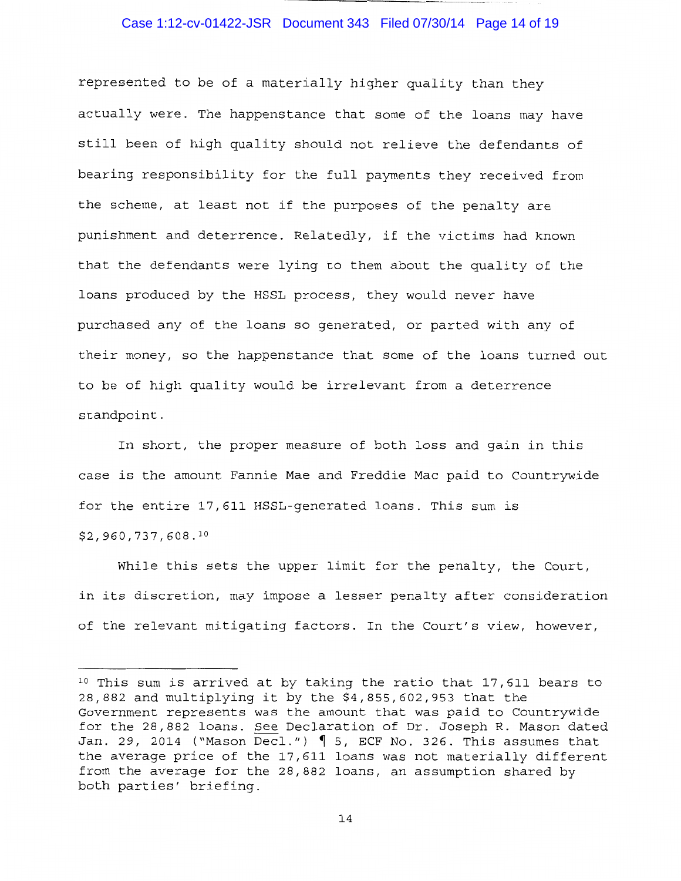# Case 1:12-cv-01422-JSR Document 343 Filed 07/30/14 Page 14 of 19

represented to be of a materially higher quality than they actually were. The happenstance that some of the loans may have still been of high quality should not relieve the defendants of bearing responsibility for the full payments they received from the scheme, at least not if the purposes of the penalty are punishment and deterrence. Relatedly, if the victims had known that the defendants were lying to them about the quality of the loans produced by the HSSL process, they would never have purchased any of the loans so generated, or parted with any of their money, so the happenstance that some of the loans turned out to be of high quality would be irrelevant from a deterrence standpoint.

In short, the proper measure of both loss and gain in this case is the amount Fannie Mae and Freddie Mac paid to Countrywide for the entire 17,611 HSSL-generated loans. This sum is  $$2,960,737,608.$ <sup>10</sup>

While this sets the upper limit for the penalty, the Court, in its discretion, may impose a lesser penalty after consideration of the relevant mitigating factors. In the Court's view, however,

<sup>10</sup> This sum is arrived at by taking the ratio that 17,611 bears to 28,882 and multiplying it by the \$4,855,602,953 that the Government represents was the amount that was paid to Countrywide for the 28,882 loans. See Declaration of Dr. Joseph R. Mason dated Jan. 29, 2014 ("Mason Decl.")  $\parallel$  5, ECF No. 326. This assumes that the average price of the 17,611 loans was not materially different from the average for the 28,882 loans, an assumption shared by both parties' briefing.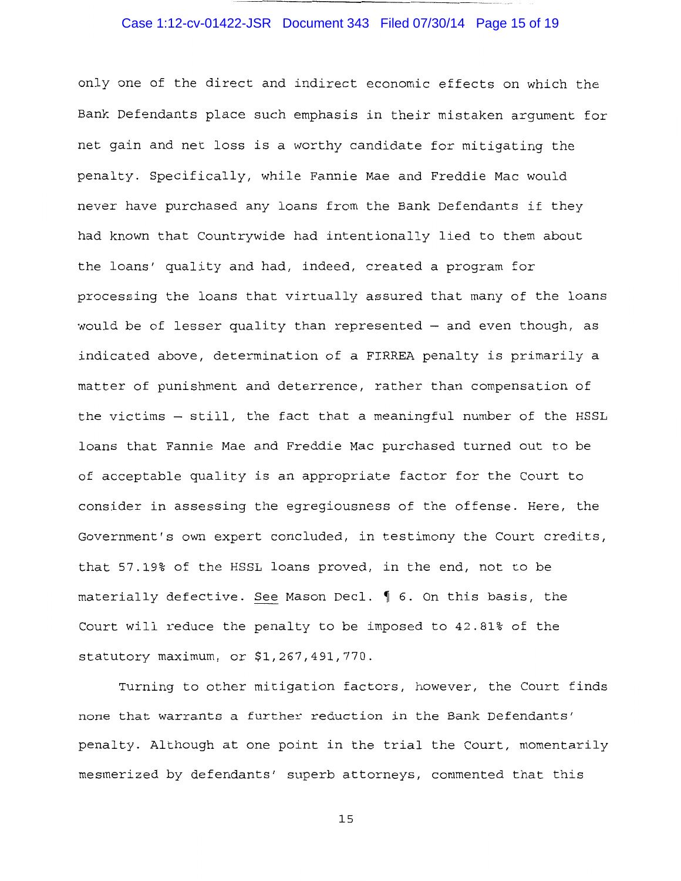# Case 1:12-cv-01422-JSR Document 343 Filed 07/30/14 Page 15 of 19

only one of the direct and indirect economic effects on which the Bank Defendants place such emphasis in their mistaken argument for net gain and net loss is a worthy candidate for mitigating the penalty. Specifically, while Fannie Mae and Freddie Mac would never have purchased any loans from the Bank Defendants if they had known that Countrywide had intentionally lied to them about the loans' quality and had, indeed, created a program for processing the loans that virtually assured that many of the loans would be of lesser quality than represented  $-$  and even though, as indicated above, determination of a FIRREA penalty is primarily a matter of punishment and deterrence, rather than compensation of the victims - still, the fact that a meaningful number of the HSSL loans that Fannie Mae and Freddie Mac purchased turned out to be of acceptable quality is an appropriate factor for the Court to consider in assessing the egregiousness of the offense. Here, the Government's own expert concluded, in testimony the Court credits, that 57.19% of the HSSL loans proved, in the end, not to be materially defective. See Mason Decl.  $\oint$  6. On this basis, the Court will reduce the penalty to be imposed to 42.81% of the statutory maximum, or \$1,267,491,770.

Turning to other mitigation factors, however, the Court finds none that warrants a further reduction in the Bank Defendants' penalty. Although at one point in the trial the Court, momentarily mesmerized by defendants' superb attorneys, commented that this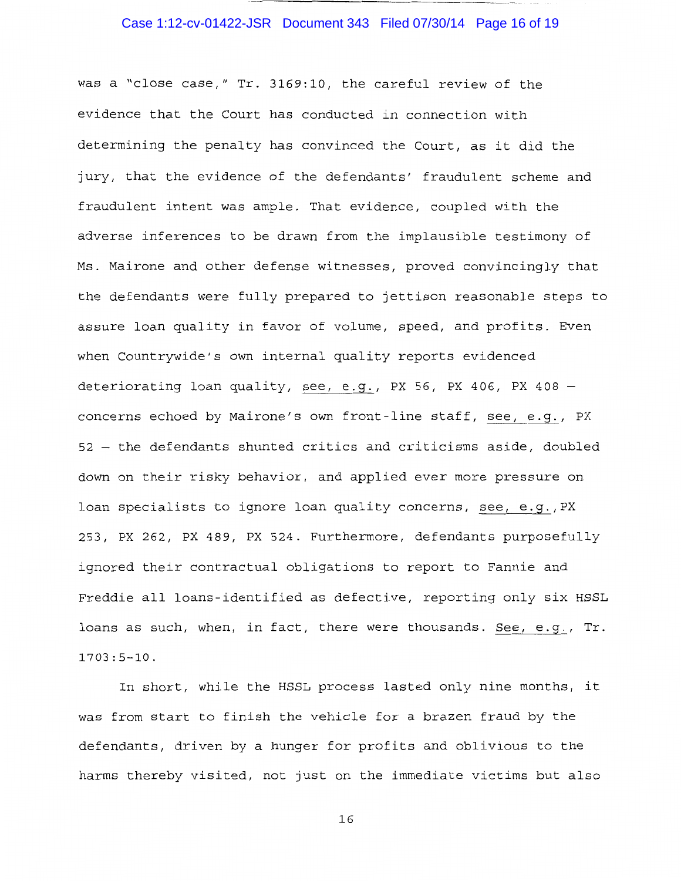# Case 1:12-cv-01422-JSR Document 343 Filed 07/30/14 Page 16 of 19

was a "close case," Tr. 3169:10, the careful review of the evidence that the Court has conducted in connection with determining the penalty has convinced the Court, as it did the jury, that the evidence of the defendants' fraudulent scheme and fraudulent intent was ample. That evidence, coupled with the adverse inferences to be drawn from the implausible testimony of Ms. Mairone and other defense witnesses, proved convincingly that the defendants were fully prepared to jettison reasonable steps to assure loan quality in favor of volume, speed, and profits. Even when Countrywide's own internal quality reports evidenced deteriorating loan quality, see, e.g., PX 56, PX 406, PX 408 concerns echoed by Mairone's own front-line staff, see, e.g., PX 52 - the defendants shunted critics and criticisms aside, doubled down on their risky behavior, and applied ever more pressure on loan specialists to ignore loan quality concerns, see, e.g.,PX 253, PX 262, PX 489, PX 524. Furthermore, defendants purposefully ignored their contractual obligations to report to Fannie and Freddie all loans-identified as defective, reporting only six HSSL loans as such, when, in fact, there were thousands. See, e.g., Tr. 1703:5-10.

In short, while the HSSL process lasted only nine months, it was from start to finish the vehicle for a brazen fraud by the defendants, driven by a hunger for profits and oblivious to the harms thereby visited, not just on the immediate victims but also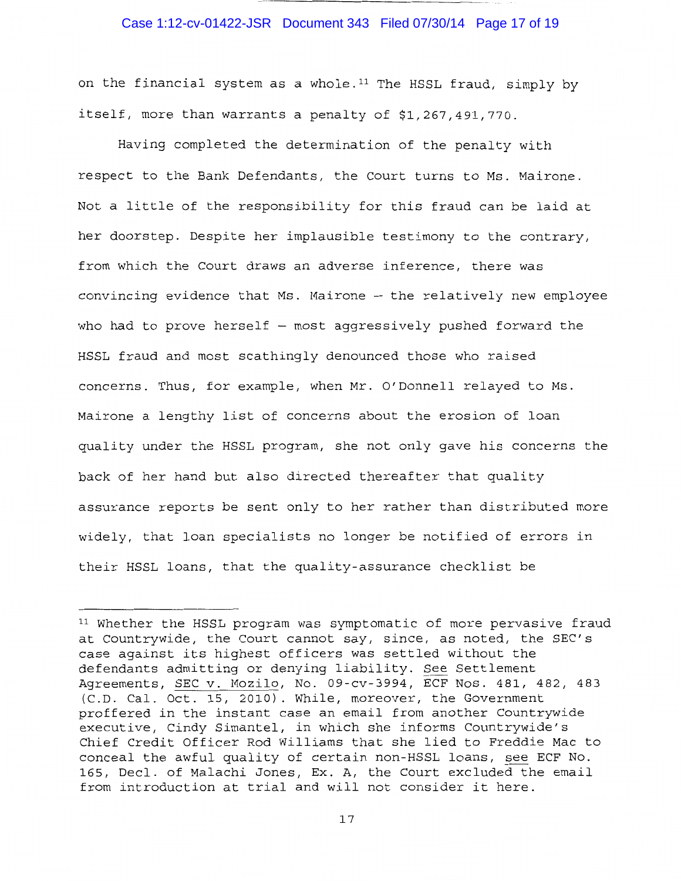### Case 1:12-cv-01422-JSR Document 343 Filed 07/30/14 Page 17 of 19

on the financial system as a whole. 11 The HSSL fraud, simply by itself, more than warrants a penalty of \$1,267,491,770.

Having completed the determination of the penalty with respect to the Bank Defendants, the Court turns to Ms. Mairone. Not a little of the responsibility for this fraud can be laid at her doorstep. Despite her implausible testimony to the contrary, from which the Court draws an adverse inference, there was convincing evidence that Ms. Mairone - the relatively new employee who had to prove herself  $-$  most aggressively pushed forward the HSSL fraud and most scathingly denounced those who raised concerns. Thus, for example, when Mr. O'Donnell relayed to Ms. Mairone a lengthy list of concerns about the erosion of loan quality under the HSSL program, she not only gave his concerns the back of her hand but also directed thereafter that quality assurance reports be sent only to her rather than distributed more widely, that loan specialists no longer be notified of errors in their HSSL loans, that the quality-assurance checklist be

<sup>&</sup>lt;sup>11</sup> Whether the HSSL program was symptomatic of more pervasive fraud at Countrywide, the Court cannot say, since, as noted, the SEC's case against its highest officers was settled without the defendants admitting or denying liability. See Settlement Agreements, SEC v. Mozilo, No. 09-cv-3994, ECF Nos. 481, 482, 483 (C.D. Cal. Oct. 15, 2010). While, moreover, the Government proffered in the instant case an email from another Countrywide executive, Cindy Simantel, in which she informs Countrywide's Chief Credit Officer Rod Williams that she lied to Freddie Mac to conceal the awful quality of certain non-HSSL loans, see ECF No. 165, Deel. of Malachi Jones, Ex. A, the Court excluded the email from introduction at trial and will not consider it here.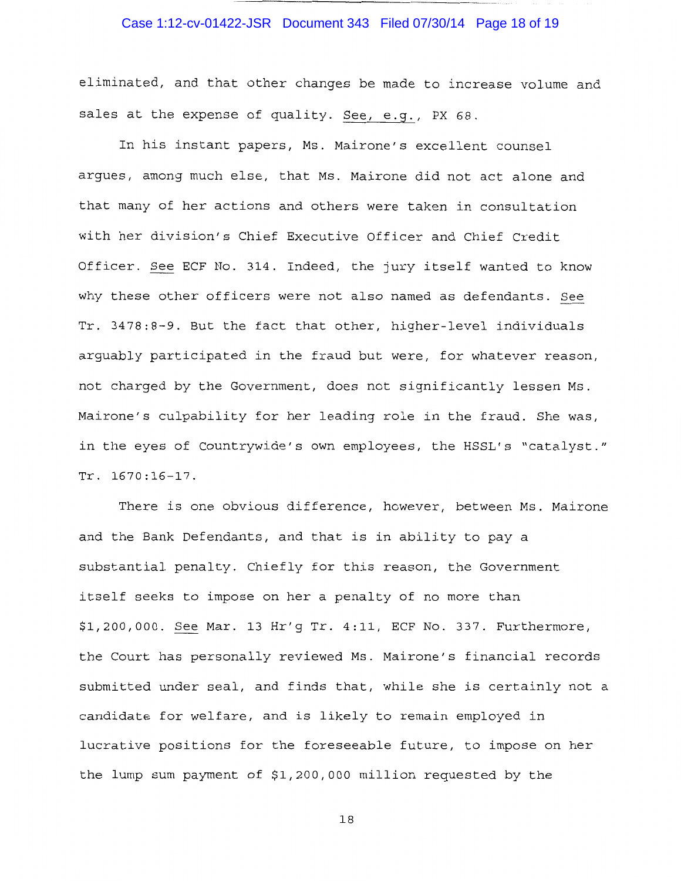# Case 1:12-cv-01422-JSR Document 343 Filed 07/30/14 Page 18 of 19

eliminated, and that other changes be made to increase volume and sales at the expense of quality. See, e.g., PX 68.

In his instant papers, Ms. Mairone's excellent counsel argues, among much else, that Ms. Mairone did not act alone and that many of her actions and others were taken in consultation with her division's Chief Executive Officer and Chief Credit Officer. See ECF No. 314. Indeed, the jury itself wanted to know why these other officers were not also named as defendants. See Tr. 3478:8-9. But the fact that other, higher-level individuals arguably participated in the fraud but were, for whatever reason, not charged by the Government, does not significantly lessen Ms. Mairone's culpability for her leading role in the fraud. She was, in the eyes of Countrywide's own employees, the HSSL's "catalyst." Tr. 1670:16-17.

There is one obvious difference, however, between Ms. Mairone and the Bank Defendants, and that is in ability to pay a substantial penalty. Chiefly for this reason, the Government itself seeks to impose on her a penalty of no more than \$1,200,000. See Mar. 13 Hr'g Tr. 4:11, ECF No. 337. Furthermore, the Court has personally reviewed Ms. Mairone's financial records submitted under seal, and finds that, while she is certainly not a candidate for welfare, and is likely to remain employed in lucrative positions for the foreseeable future, to impose on her the lump sum payment of \$1,200,000 million requested by the